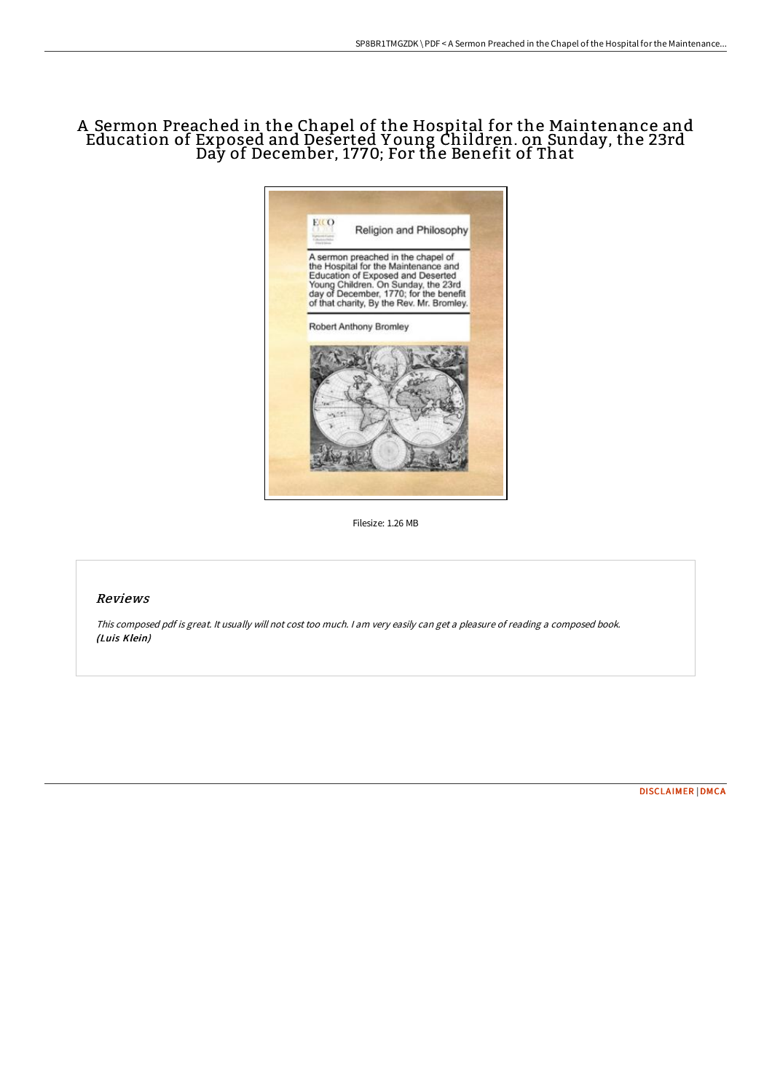# A Sermon Preached in the Chapel of the Hospital for the Maintenance and Education of Exposed and Deserted Y oung Children. on Sunday, the 23rd Day of December, 1770; For the Benefit of That



Filesize: 1.26 MB

## Reviews

This composed pdf is great. It usually will not cost too much. <sup>I</sup> am very easily can get <sup>a</sup> pleasure of reading <sup>a</sup> composed book. (Luis Klein)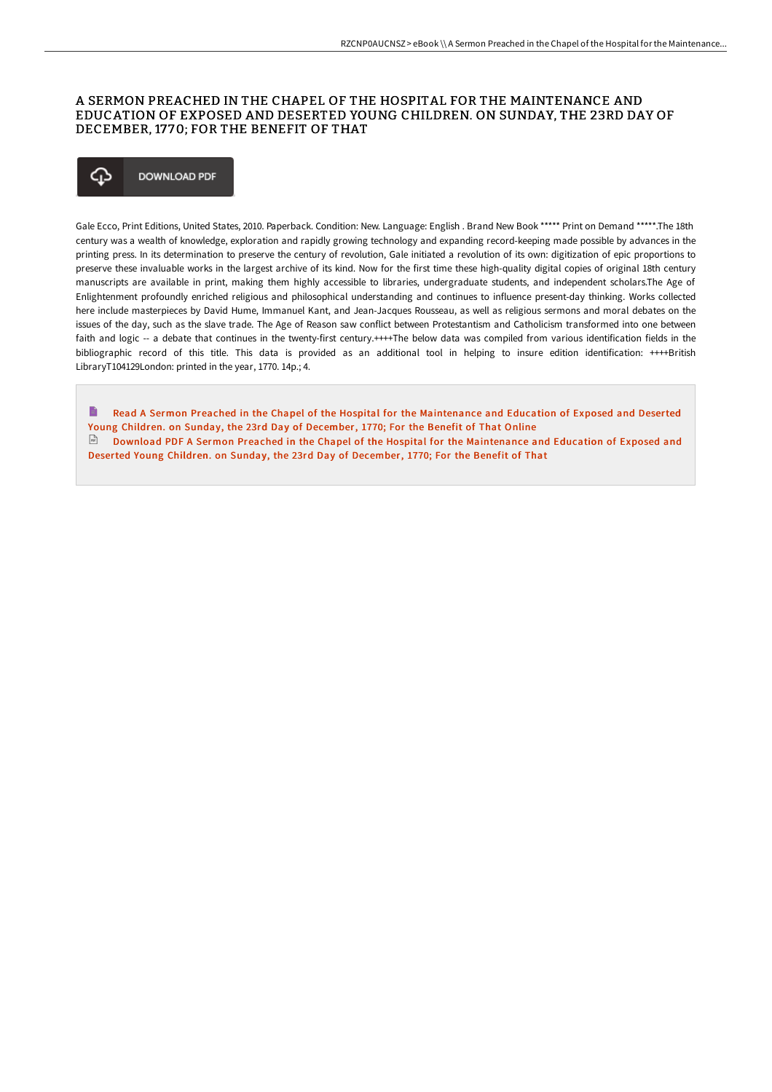### A SERMON PREACHED IN THE CHAPEL OF THE HOSPITAL FOR THE MAINTENANCE AND EDUCATION OF EXPOSED AND DESERTED YOUNG CHILDREN. ON SUNDAY, THE 23RD DAY OF DECEMBER, 17 70; FOR THE BENEFIT OF THAT

#### ⊕ **DOWNLOAD PDF**

Gale Ecco, Print Editions, United States, 2010. Paperback. Condition: New. Language: English . Brand New Book \*\*\*\*\* Print on Demand \*\*\*\*\*.The 18th century was a wealth of knowledge, exploration and rapidly growing technology and expanding record-keeping made possible by advances in the printing press. In its determination to preserve the century of revolution, Gale initiated a revolution of its own: digitization of epic proportions to preserve these invaluable works in the largest archive of its kind. Now for the first time these high-quality digital copies of original 18th century manuscripts are available in print, making them highly accessible to libraries, undergraduate students, and independent scholars.The Age of Enlightenment profoundly enriched religious and philosophical understanding and continues to influence present-day thinking. Works collected here include masterpieces by David Hume, Immanuel Kant, and Jean-Jacques Rousseau, as well as religious sermons and moral debates on the issues of the day, such as the slave trade. The Age of Reason saw conflict between Protestantism and Catholicism transformed into one between faith and logic -- a debate that continues in the twenty-first century.++++The below data was compiled from various identification fields in the bibliographic record of this title. This data is provided as an additional tool in helping to insure edition identification: ++++British LibraryT104129London: printed in the year, 1770. 14p.; 4.

Read A Sermon Preached in the Chapel of the Hospital for the [Maintenance](http://albedo.media/a-sermon-preached-in-the-chapel-of-the-hospital-.html) and Education of Exposed and Deserted Young Children. on Sunday, the 23rd Day of December, 1770; For the Benefit of That Online Download PDF A Sermon Preached in the Chapel of the Hospital for the [Maintenance](http://albedo.media/a-sermon-preached-in-the-chapel-of-the-hospital-.html) and Education of Exposed and Deserted Young Children. on Sunday, the 23rd Day of December, 1770; For the Benefit of That